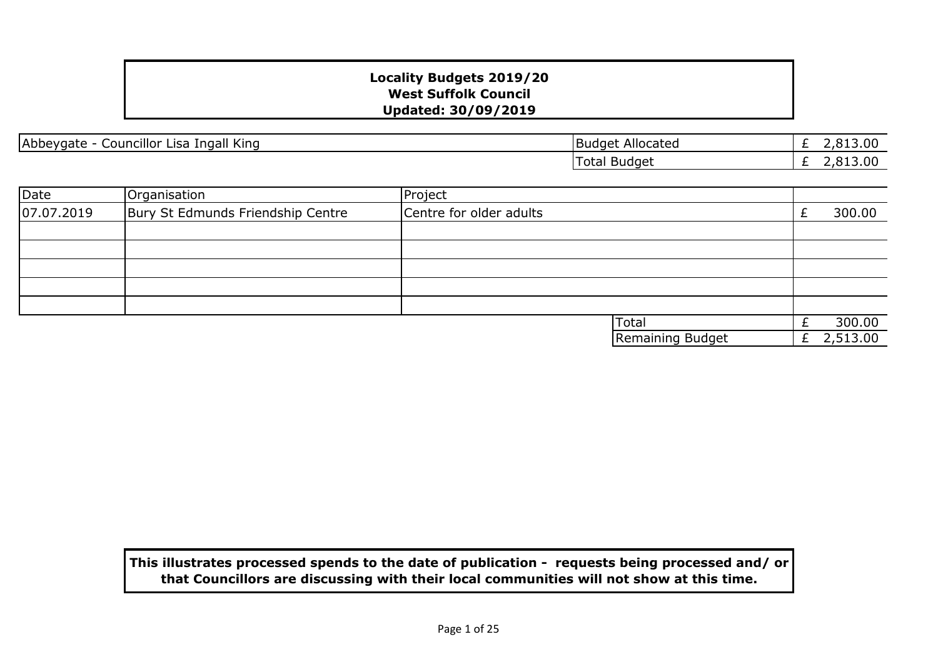| Abbeygate - Councillor Lisa Ingall King |  |  |  |
|-----------------------------------------|--|--|--|
|                                         |  |  |  |

£ 2,813.00 £ 2,813.00 **Budget Allocated** Total Budget

| Date       | Organisation                      | Project                 |          |
|------------|-----------------------------------|-------------------------|----------|
| 07.07.2019 | Bury St Edmunds Friendship Centre | Centre for older adults | 300.00   |
|            |                                   |                         |          |
|            |                                   |                         |          |
|            |                                   |                         |          |
|            |                                   |                         |          |
|            |                                   |                         |          |
|            |                                   | Total                   | 300.00   |
|            |                                   | Remaining Budget        | 2,513.00 |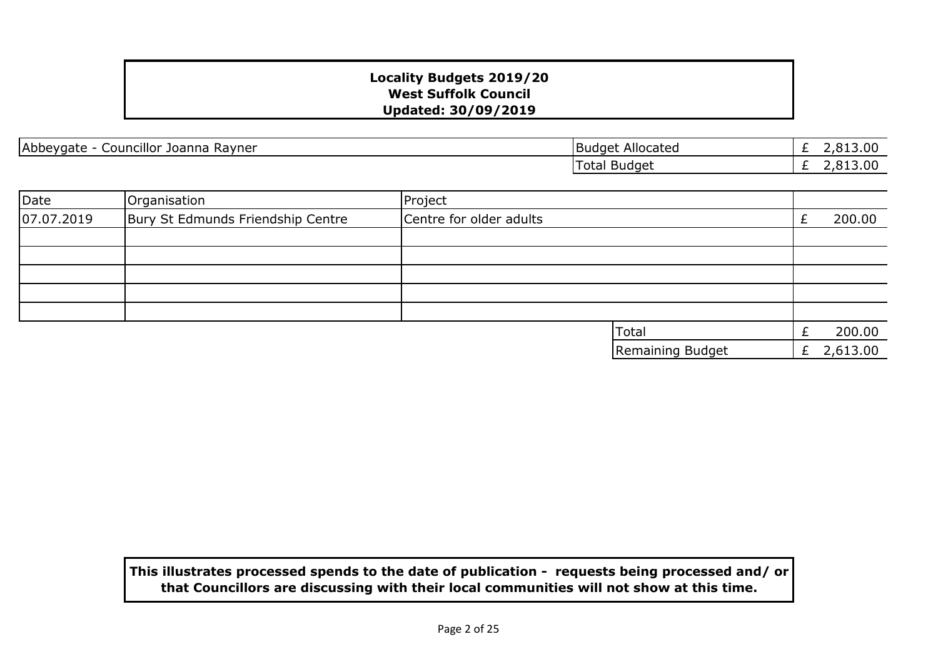Abbeygate - Councillor Joanna Rayner Budget Allocated Budget Allocated

£ 2,813.00 £ 2,813.00 Total Budget

| Date       | Organisation                      | Project                 |                  |              |
|------------|-----------------------------------|-------------------------|------------------|--------------|
| 07.07.2019 | Bury St Edmunds Friendship Centre | Centre for older adults |                  | 200.00       |
|            |                                   |                         |                  |              |
|            |                                   |                         |                  |              |
|            |                                   |                         |                  |              |
|            |                                   |                         |                  |              |
|            |                                   |                         |                  |              |
|            |                                   |                         | <b>Total</b>     | 200.00       |
|            |                                   |                         | Remaining Budget | £ $2,613.00$ |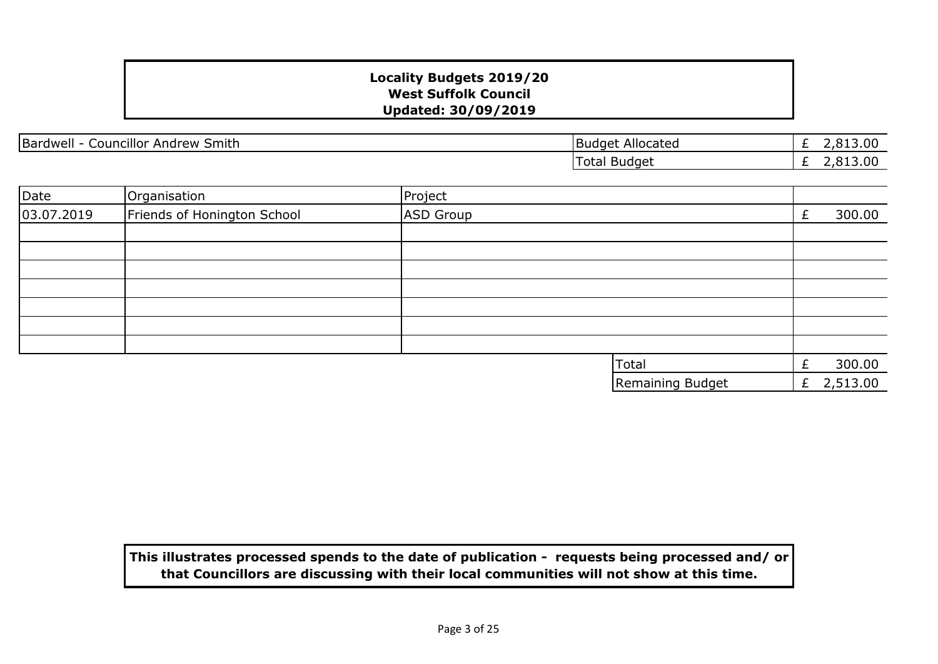| <br>Bardwell<br>$\overline{\phantom{a}}$<br>.<br>Smith<br>Andrew<br>Councillor | Allocated<br><b>Budget</b> | 3.00<br>$\overline{\phantom{a}}$ |
|--------------------------------------------------------------------------------|----------------------------|----------------------------------|
|                                                                                | `otal<br>Budget            | 3.00<br>__                       |

| Date       | Organisation                | Project          |   |          |
|------------|-----------------------------|------------------|---|----------|
| 03.07.2019 | Friends of Honington School | ASD Group        |   | 300.00   |
|            |                             |                  |   |          |
|            |                             |                  |   |          |
|            |                             |                  |   |          |
|            |                             |                  |   |          |
|            |                             |                  |   |          |
|            |                             |                  |   |          |
|            |                             |                  |   |          |
|            |                             | Total            | £ | 300.00   |
|            |                             | Remaining Budget | £ | 2,513.00 |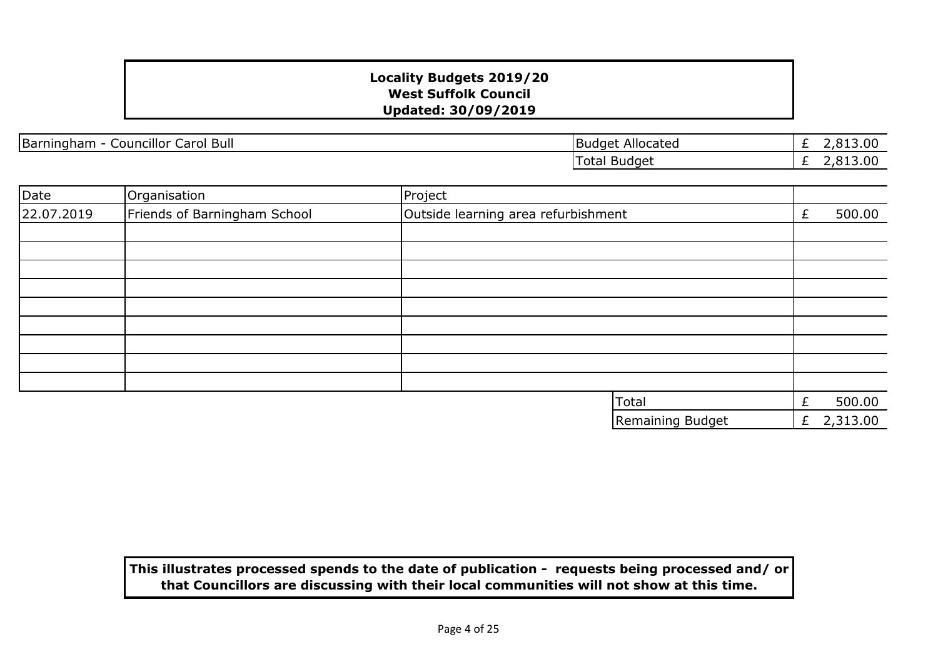Barningham - Councillor Carol Bull Budget Allocated

£ 2,813.00  $\overline{E}$  2,813.00 Total Budget

| Date       | Organisation                 | Project                             |                  |   |          |
|------------|------------------------------|-------------------------------------|------------------|---|----------|
| 22.07.2019 | Friends of Barningham School | Outside learning area refurbishment |                  |   | 500.00   |
|            |                              |                                     |                  |   |          |
|            |                              |                                     |                  |   |          |
|            |                              |                                     |                  |   |          |
|            |                              |                                     |                  |   |          |
|            |                              |                                     |                  |   |          |
|            |                              |                                     |                  |   |          |
|            |                              |                                     |                  |   |          |
|            |                              |                                     |                  |   |          |
|            |                              |                                     |                  |   |          |
|            |                              |                                     | Total            |   | 500.00   |
|            |                              |                                     | Remaining Budget | £ | 2,313.00 |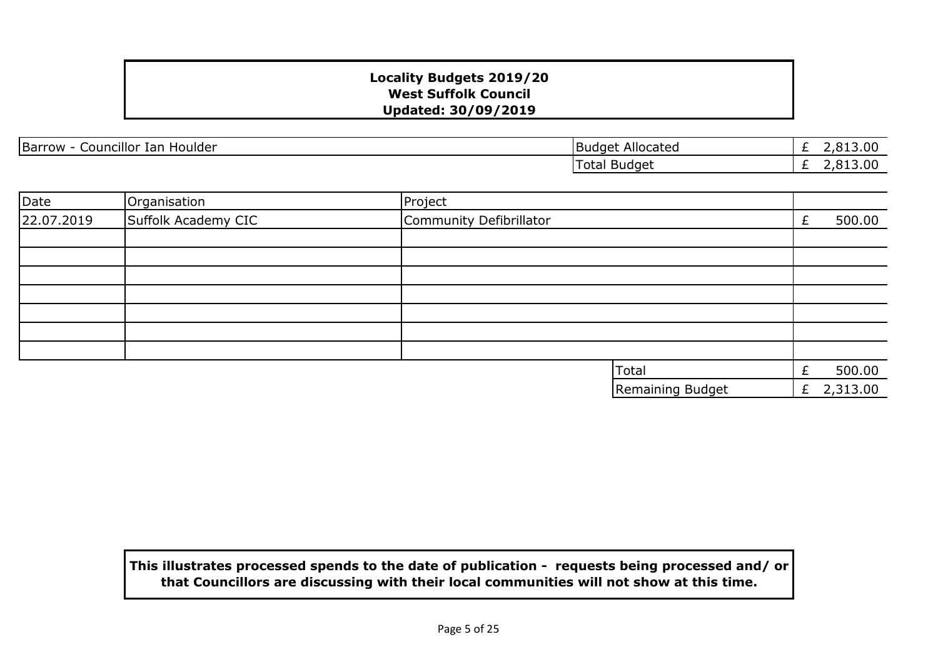Barrow - Councillor Ian Houlder **Barrow - Councillor Ian Houlder** Budget Allocated

£ 2,813.00 £ 2,813.00 Total Budget

| Date       | Organisation        | Project                 |   |          |
|------------|---------------------|-------------------------|---|----------|
| 22.07.2019 | Suffolk Academy CIC | Community Defibrillator |   | 500.00   |
|            |                     |                         |   |          |
|            |                     |                         |   |          |
|            |                     |                         |   |          |
|            |                     |                         |   |          |
|            |                     |                         |   |          |
|            |                     |                         |   |          |
|            |                     |                         |   |          |
|            |                     | Total                   | £ | 500.00   |
|            |                     | Remaining Budget        | £ | 2,313.00 |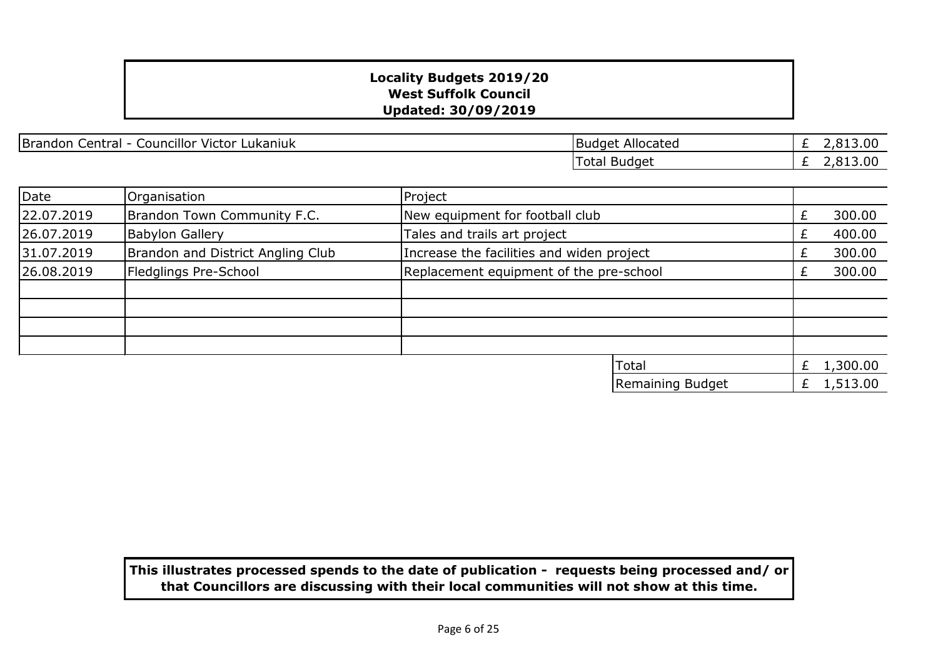Brandon Central - Councillor Victor Lukaniuk Brandon Central - Councillor Victor Lukaniuk

£ 2,813.00 £ 2,813.00 Total Budget

Remaining Budget  $\left| \begin{array}{ccc} E & 1,513.00 \end{array} \right|$ 

| Date       | Organisation                      | Project                                   |  |          |
|------------|-----------------------------------|-------------------------------------------|--|----------|
| 22.07.2019 | Brandon Town Community F.C.       | New equipment for football club           |  | 300.00   |
| 26.07.2019 | <b>Babylon Gallery</b>            | Tales and trails art project              |  | 400.00   |
| 31.07.2019 | Brandon and District Angling Club | Increase the facilities and widen project |  | 300.00   |
| 26.08.2019 | Fledglings Pre-School             | Replacement equipment of the pre-school   |  | 300.00   |
|            |                                   |                                           |  |          |
|            |                                   |                                           |  |          |
|            |                                   |                                           |  |          |
|            |                                   |                                           |  |          |
|            |                                   | <b>Total</b>                              |  | 1,300.00 |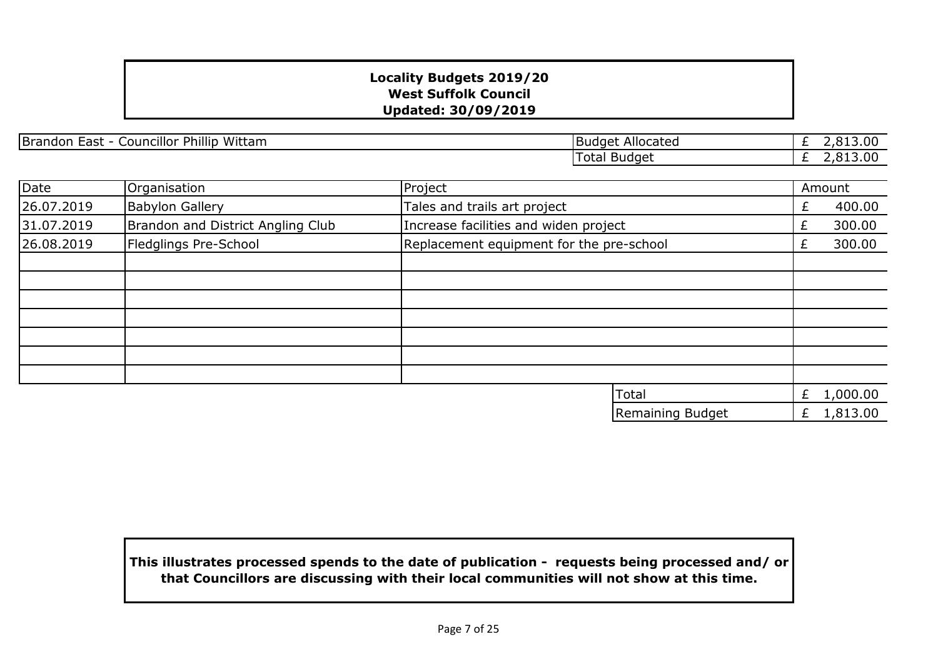Brandon East - Councillor Phillip Wittam Budget Allocated

£ 2,813.00 £ 2,813.00 Total Budget

| Date       | Organisation                      | Project                                  |    | Amount   |
|------------|-----------------------------------|------------------------------------------|----|----------|
| 26.07.2019 | <b>Babylon Gallery</b>            | Tales and trails art project             | £  | 400.00   |
| 31.07.2019 | Brandon and District Angling Club | Increase facilities and widen project    | Ł. | 300.00   |
| 26.08.2019 | Fledglings Pre-School             | Replacement equipment for the pre-school | Ł. | 300.00   |
|            |                                   |                                          |    |          |
|            |                                   |                                          |    |          |
|            |                                   |                                          |    |          |
|            |                                   |                                          |    |          |
|            |                                   |                                          |    |          |
|            |                                   |                                          |    |          |
|            |                                   |                                          |    |          |
|            |                                   | <b>Total</b>                             | £  | 1,000.00 |
|            |                                   | Remaining Budget                         | £  | 1,813.00 |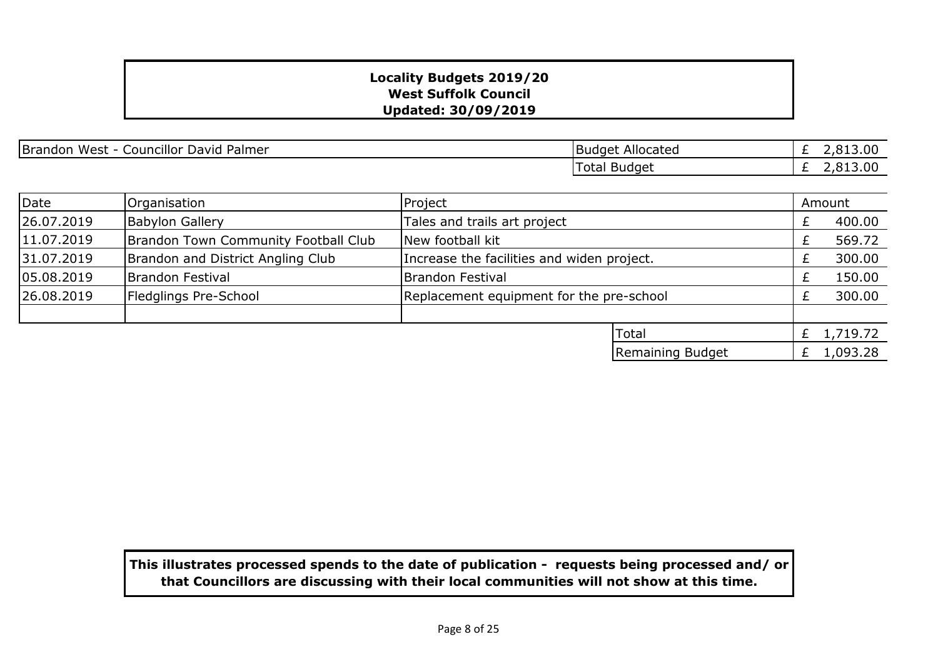| <br><b>Brandon</b><br>Palmer<br>West<br>Councillor David<br>- 1 | Allocated<br>IBudaet i | L3.00<br>_ |
|-----------------------------------------------------------------|------------------------|------------|
|                                                                 | Budget<br>otal         | 3.00<br>-  |

| Date       | Organisation                         | Project                                    |                  |    | Amount   |
|------------|--------------------------------------|--------------------------------------------|------------------|----|----------|
| 26.07.2019 | <b>Babylon Gallery</b>               | Tales and trails art project               |                  |    | 400.00   |
| 11.07.2019 | Brandon Town Community Football Club | New football kit                           |                  |    | 569.72   |
| 31.07.2019 | Brandon and District Angling Club    | Increase the facilities and widen project. |                  |    | 300.00   |
| 05.08.2019 | <b>Brandon Festival</b>              | <b>Brandon Festival</b>                    |                  |    | 150.00   |
| 26.08.2019 | Fledglings Pre-School                | Replacement equipment for the pre-school   |                  |    | 300.00   |
|            |                                      |                                            |                  |    |          |
|            |                                      |                                            | <b>Total</b>     | Ł. | 1,719.72 |
|            |                                      |                                            | Remaining Budget |    | 1,093.28 |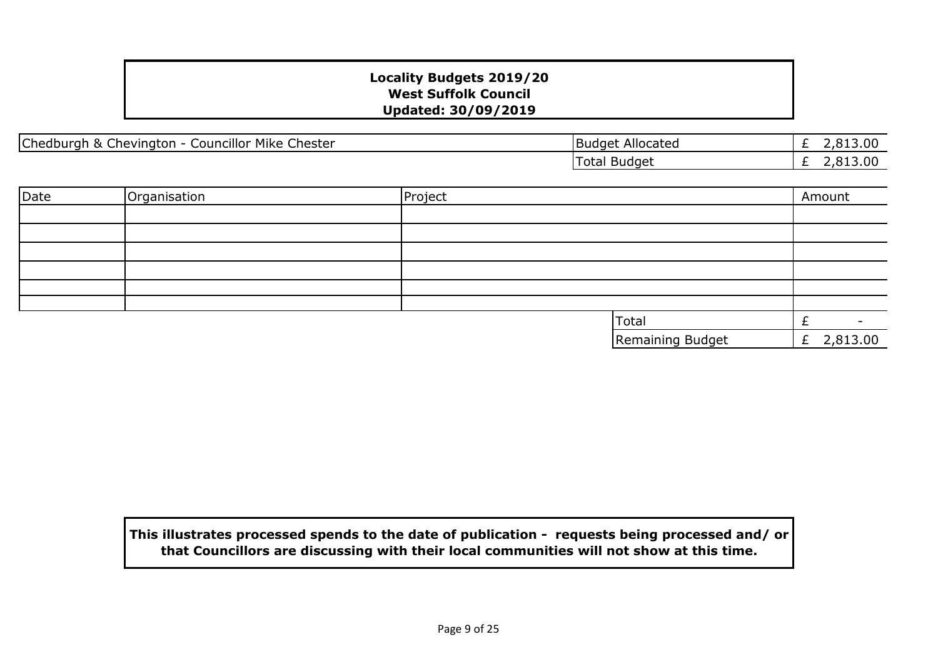|Chedburgh & Chevington - Councillor Mike Chester | National Chester |Budget Allocated

£ 2,813.00 £ 2,813.00 Total Budget

| Date | Organisation | Project |                  | Amount       |
|------|--------------|---------|------------------|--------------|
|      |              |         |                  |              |
|      |              |         |                  |              |
|      |              |         |                  |              |
|      |              |         |                  |              |
|      |              |         |                  |              |
|      |              |         |                  |              |
|      |              |         | <b>Total</b>     |              |
|      |              |         | Remaining Budget | £ $2,813.00$ |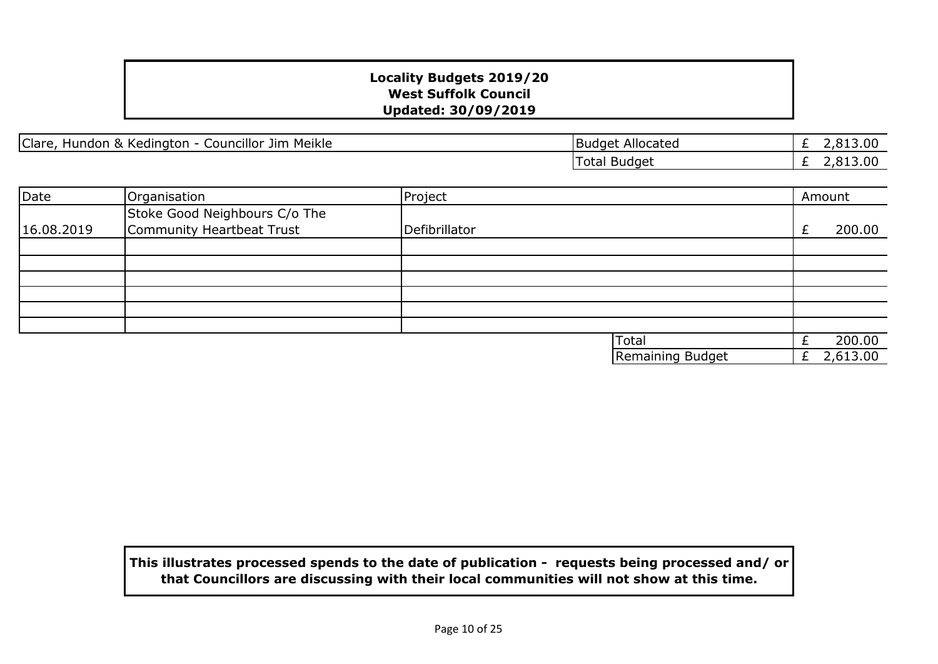|Clare, Hundon & Kedington - Councillor Jim Meikle | National Clare | Budget Allocated

£ 2,813.00 £ 2,813.00 Total Budget

| Date       | Organisation                  | Project       |                  |   | Amount   |
|------------|-------------------------------|---------------|------------------|---|----------|
|            | Stoke Good Neighbours C/o The |               |                  |   |          |
| 16.08.2019 | Community Heartbeat Trust     | Defibrillator |                  |   | 200.00   |
|            |                               |               |                  |   |          |
|            |                               |               |                  |   |          |
|            |                               |               |                  |   |          |
|            |                               |               |                  |   |          |
|            |                               |               |                  |   |          |
|            |                               |               |                  |   |          |
|            |                               |               | <b>Total</b>     |   | 200.00   |
|            |                               |               | Remaining Budget | £ | 2,613.00 |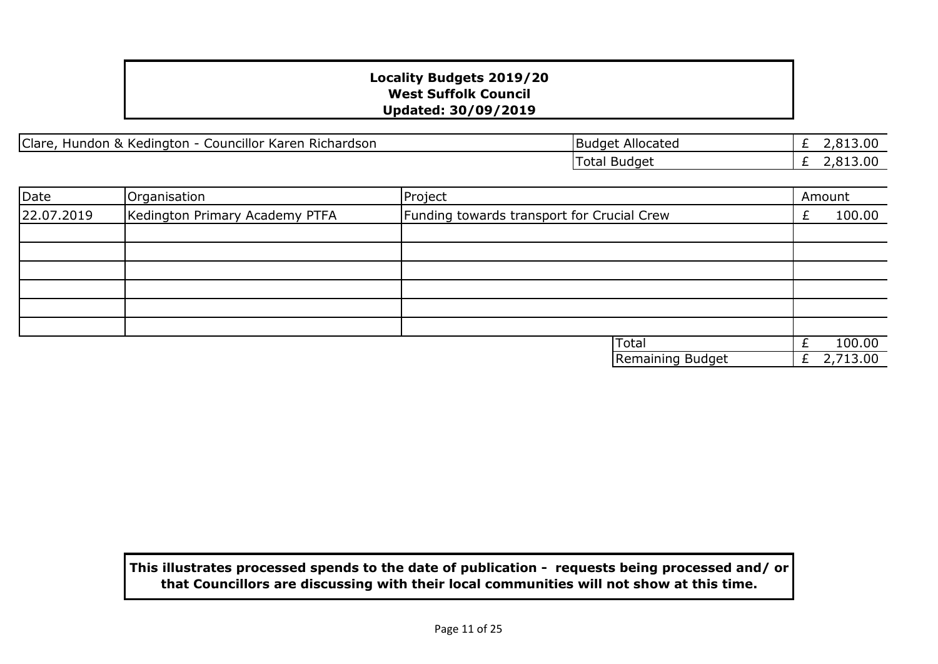Clare, Hundon & Kedington - Councillor Karen Richardson

| <b>Budget Allocated</b> | £ 2,813.00   |
|-------------------------|--------------|
| <b>Total Budget</b>     | £ $2,813.00$ |

| Date       | Organisation                   | Project                                    |    | Amount   |
|------------|--------------------------------|--------------------------------------------|----|----------|
| 22.07.2019 | Kedington Primary Academy PTFA | Funding towards transport for Crucial Crew |    | 100.00   |
|            |                                |                                            |    |          |
|            |                                |                                            |    |          |
|            |                                |                                            |    |          |
|            |                                |                                            |    |          |
|            |                                |                                            |    |          |
|            |                                |                                            |    |          |
|            |                                | <b>Total</b>                               |    | 100.00   |
|            |                                | Remaining Budget                           | Ł. | 2,713.00 |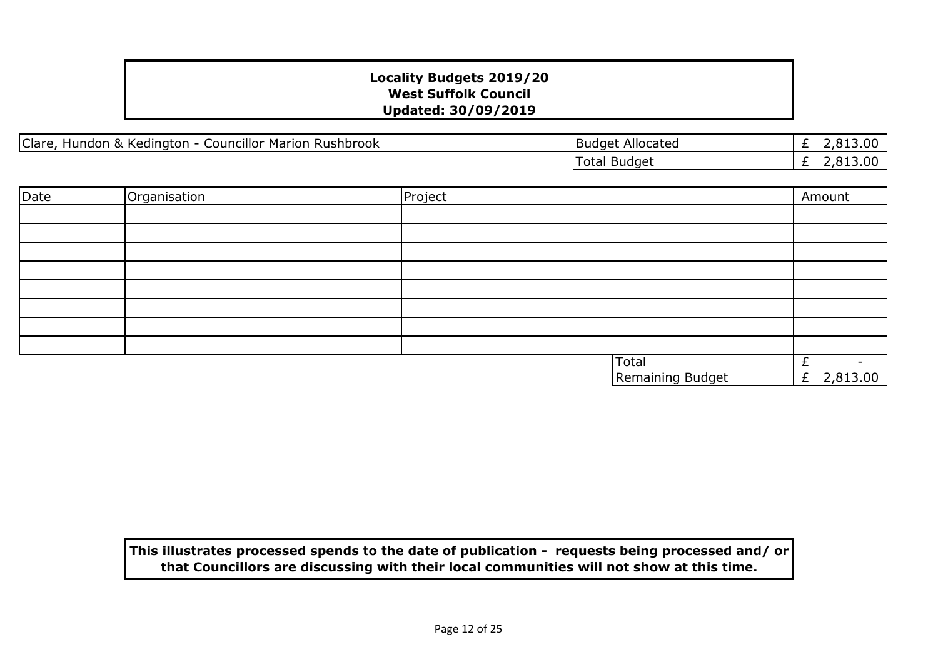£ 2,813.00  $\overline{E}$  2,813.00

| Clare,<br><b>Councillor Marion Rushbrook</b><br>Hundon & Kedington - C | Budget Allocated |
|------------------------------------------------------------------------|------------------|
|                                                                        | Total Budget     |

| Date | Organisation | Project |                  | Amount       |        |
|------|--------------|---------|------------------|--------------|--------|
|      |              |         |                  |              |        |
|      |              |         |                  |              |        |
|      |              |         |                  |              |        |
|      |              |         |                  |              |        |
|      |              |         |                  |              |        |
|      |              |         |                  |              |        |
|      |              |         |                  |              |        |
|      |              |         |                  |              |        |
|      |              |         | <b>Total</b>     | £            | $\sim$ |
|      |              |         | Remaining Budget | £ $2,813.00$ |        |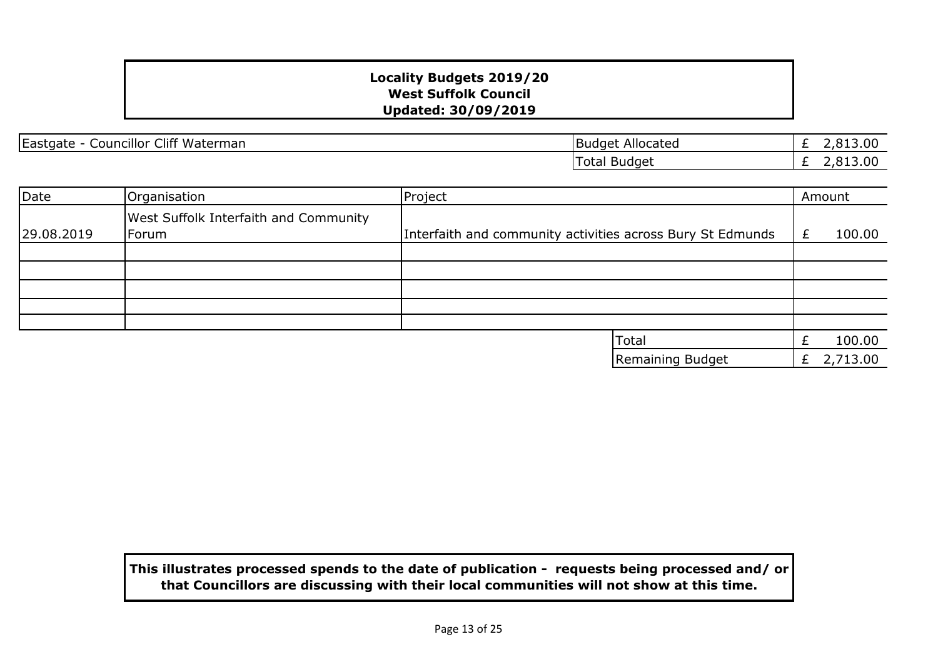Eastgate - Councillor Cliff Waterman Budget Allocated

£ 2,813.00 £ 2,813.00 Total Budget

| Date       | Organisation                                          | Project                                                    |   | Amount   |
|------------|-------------------------------------------------------|------------------------------------------------------------|---|----------|
| 29.08.2019 | <b>West Suffolk Interfaith and Community</b><br>Forum | Interfaith and community activities across Bury St Edmunds |   | 100.00   |
|            |                                                       |                                                            |   |          |
|            |                                                       |                                                            |   |          |
|            |                                                       |                                                            |   |          |
|            |                                                       |                                                            |   |          |
|            |                                                       | <b>Total</b>                                               |   | 100.00   |
|            |                                                       | Remaining Budget                                           | £ | 2,713.00 |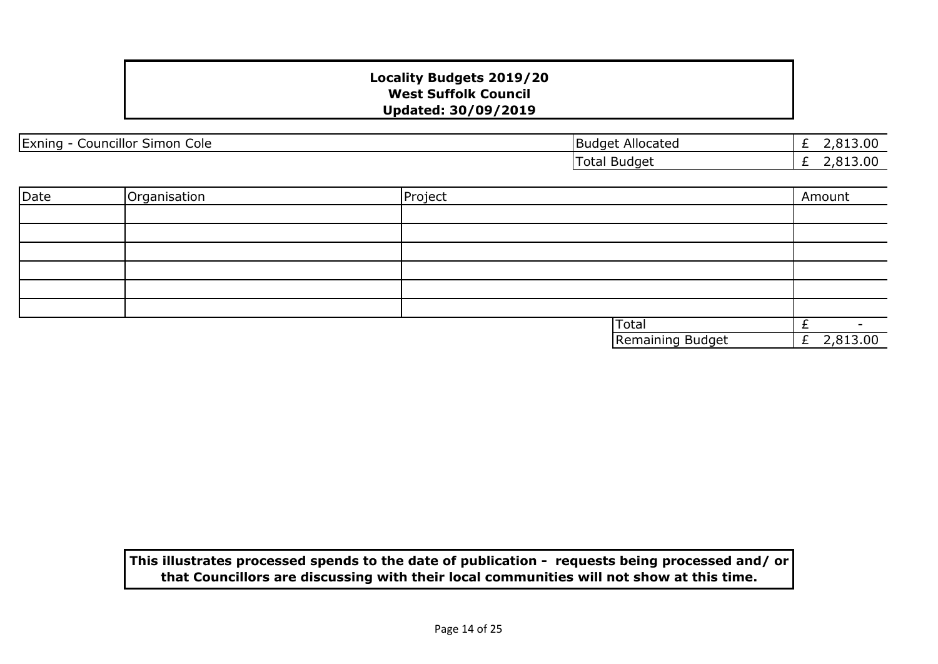| $\cdots$<br>$\sim$<br>Exning<br>-<br>Cole<br>Councillor<br>Simon | Allocated<br>Budge' | .00<br>$\sim$ |
|------------------------------------------------------------------|---------------------|---------------|
|                                                                  | Total Budget        | 2,813.00<br>- |

| Date | Organisation | Project |                  | Amount         |
|------|--------------|---------|------------------|----------------|
|      |              |         |                  |                |
|      |              |         |                  |                |
|      |              |         |                  |                |
|      |              |         |                  |                |
|      |              |         |                  |                |
|      |              |         |                  |                |
|      |              |         | <b>Total</b>     |                |
|      |              |         | Remaining Budget | 2,813.00<br>Ł. |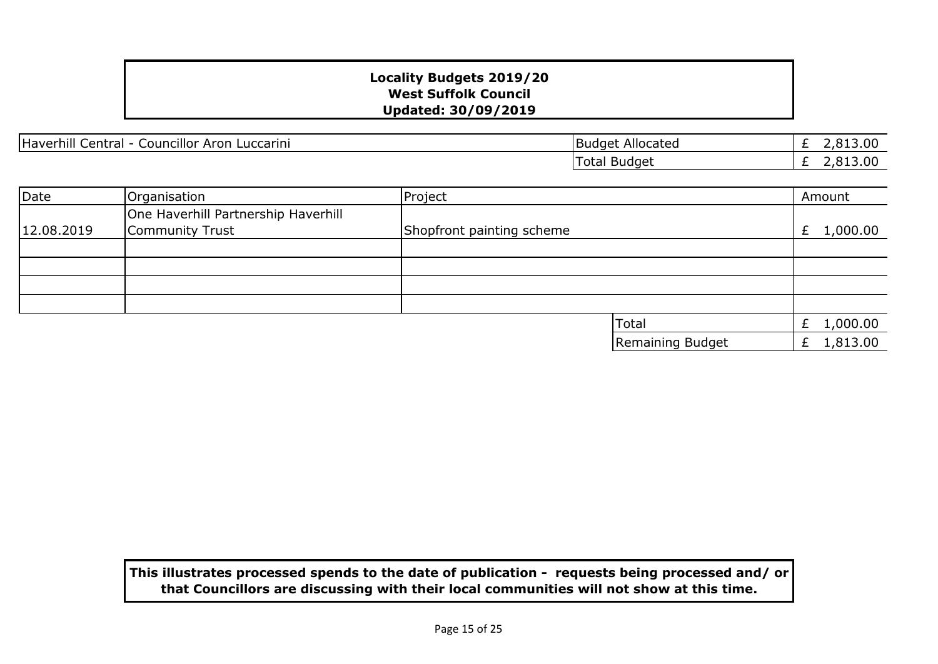Haverhill Central - Councillor Aron Luccarini Budget Allocated

£ 2,813.00 £ 2,813.00 Total Budget

| Date       | Organisation                                           | Project                   |                  | Amount        |
|------------|--------------------------------------------------------|---------------------------|------------------|---------------|
| 12.08.2019 | One Haverhill Partnership Haverhill<br>Community Trust | Shopfront painting scheme |                  | £ $1,000.00$  |
|            |                                                        |                           |                  |               |
|            |                                                        |                           |                  |               |
|            |                                                        |                           |                  |               |
|            |                                                        |                           |                  |               |
|            |                                                        |                           | <b>Total</b>     | 1,000.00      |
|            |                                                        |                           | Remaining Budget | 1,813.00<br>£ |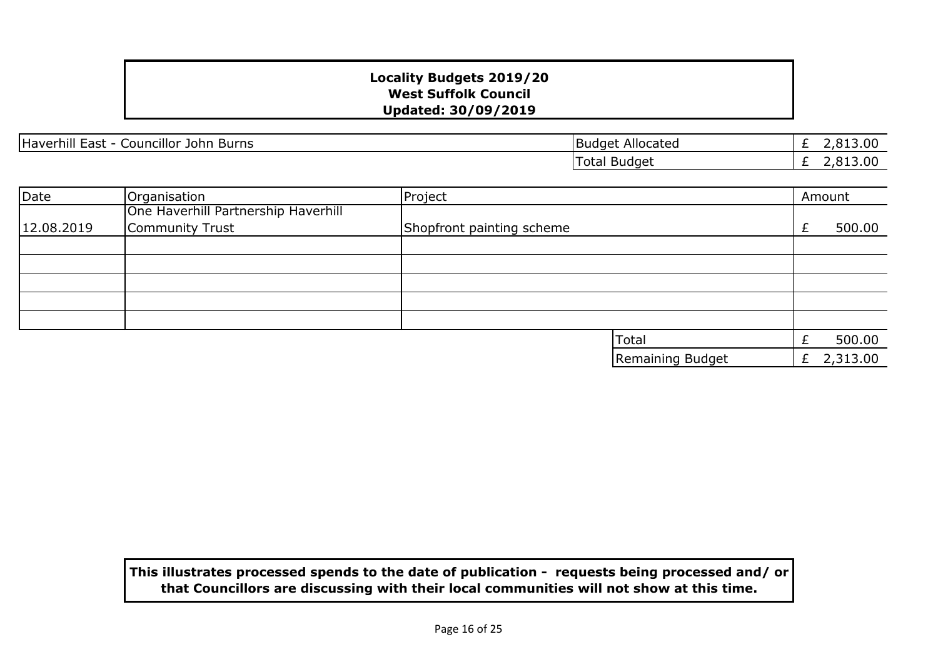Haverhill East - Councillor John Burns Burns Budget Allocated

£ 2,813.00 £ 2,813.00 Total Budget

| Date       | Organisation                        | Project                   |                  |   | Amount   |
|------------|-------------------------------------|---------------------------|------------------|---|----------|
|            | One Haverhill Partnership Haverhill |                           |                  |   |          |
| 12.08.2019 | Community Trust                     | Shopfront painting scheme |                  |   | 500.00   |
|            |                                     |                           |                  |   |          |
|            |                                     |                           |                  |   |          |
|            |                                     |                           |                  |   |          |
|            |                                     |                           |                  |   |          |
|            |                                     |                           |                  |   |          |
|            |                                     |                           | <b>Total</b>     |   | 500.00   |
|            |                                     |                           | Remaining Budget | £ | 2,313.00 |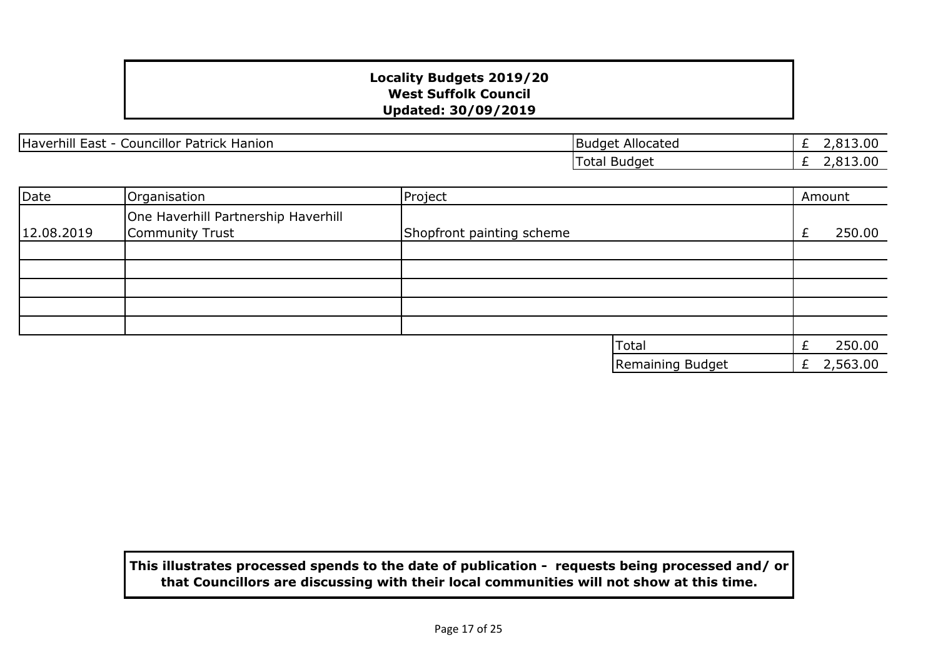Haverhill East - Councillor Patrick Hanion Budget Allocated Budget Allocated

£ 2,813.00 £ 2,813.00 Total Budget

| Date       | Organisation                                           | Project                   |                  |   | Amount   |
|------------|--------------------------------------------------------|---------------------------|------------------|---|----------|
| 12.08.2019 | One Haverhill Partnership Haverhill<br>Community Trust | Shopfront painting scheme |                  | £ | 250.00   |
|            |                                                        |                           |                  |   |          |
|            |                                                        |                           |                  |   |          |
|            |                                                        |                           |                  |   |          |
|            |                                                        |                           |                  |   |          |
|            |                                                        |                           |                  |   |          |
|            |                                                        |                           | <b>Total</b>     |   | 250.00   |
|            |                                                        |                           | Remaining Budget | £ | 2,563.00 |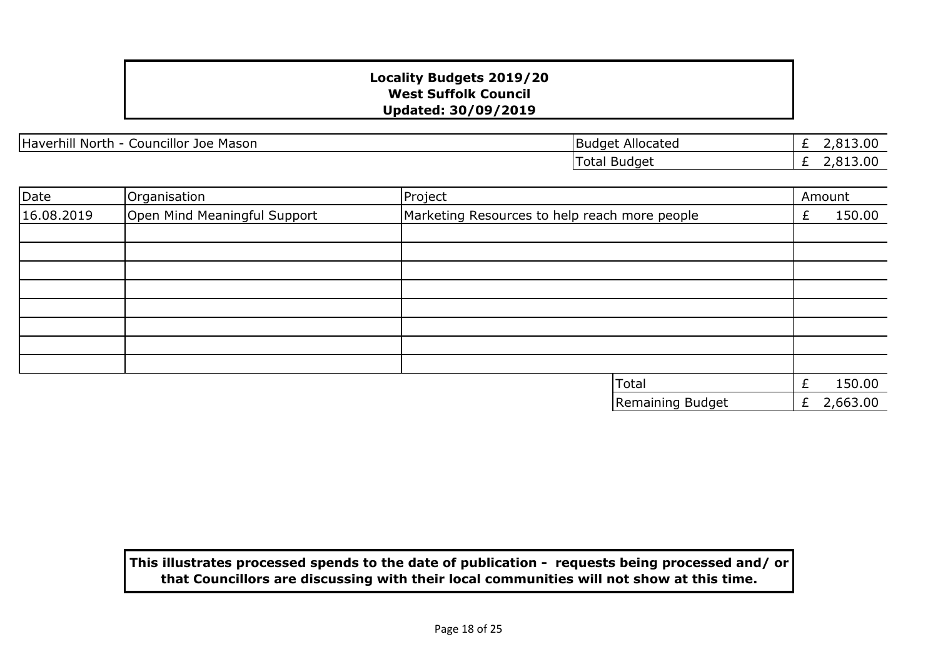Haverhill North - Councillor Joe Mason Budget Allocated

£ 2,813.00 £ 2,813.00 Total Budget

| Date       | Organisation                 | Project                                       |   | Amount   |
|------------|------------------------------|-----------------------------------------------|---|----------|
| 16.08.2019 | Open Mind Meaningful Support | Marketing Resources to help reach more people | £ | 150.00   |
|            |                              |                                               |   |          |
|            |                              |                                               |   |          |
|            |                              |                                               |   |          |
|            |                              |                                               |   |          |
|            |                              |                                               |   |          |
|            |                              |                                               |   |          |
|            |                              |                                               |   |          |
|            |                              |                                               |   |          |
|            |                              | <b>Total</b>                                  |   | 150.00   |
|            |                              | Remaining Budget                              | £ | 2,663.00 |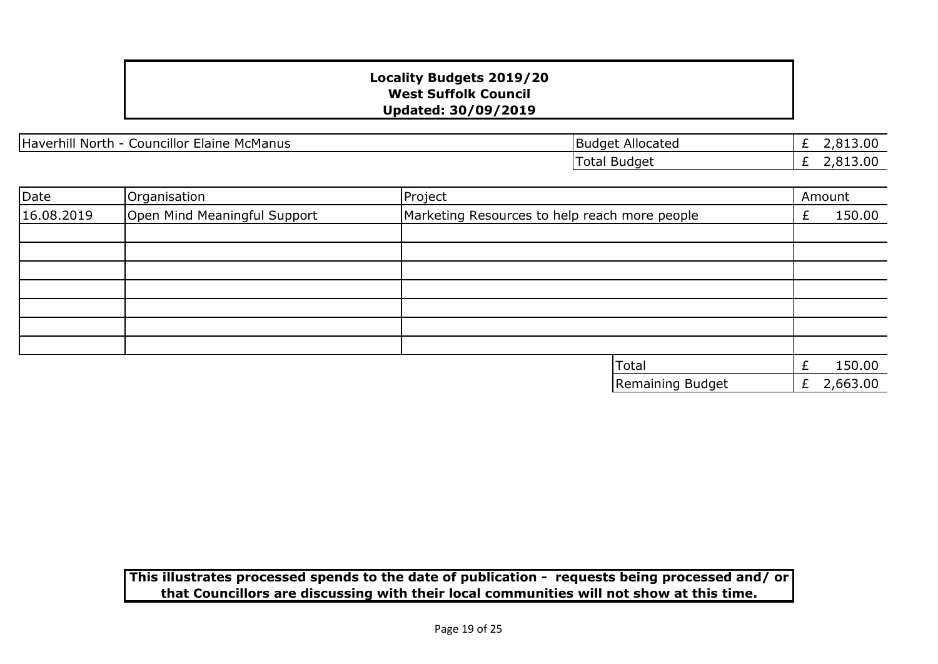Haverhill North - Councillor Elaine McManus

£ 2,813.00  $\overline{E}$  2,813.00 Total Budget

Remaining Budget

£ 2,663.00

| Date       | Organisation                 | Project                                       | Amount |  |
|------------|------------------------------|-----------------------------------------------|--------|--|
| 16.08.2019 | Open Mind Meaningful Support | Marketing Resources to help reach more people | 150.00 |  |
|            |                              |                                               |        |  |
|            |                              |                                               |        |  |
|            |                              |                                               |        |  |
|            |                              |                                               |        |  |
|            |                              |                                               |        |  |
|            |                              |                                               |        |  |
|            |                              |                                               |        |  |
|            |                              | <b>Total</b>                                  | 150.00 |  |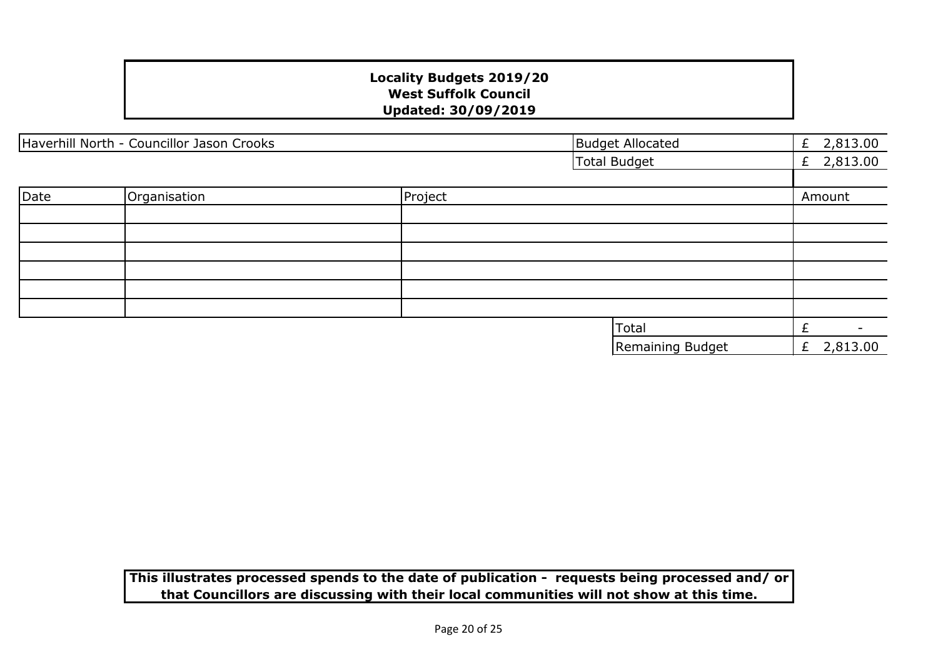| Haverhill North - Councillor Jason Crooks |              | <b>Budget Allocated</b> | £ $2,813.00$        |              |
|-------------------------------------------|--------------|-------------------------|---------------------|--------------|
|                                           |              |                         | <b>Total Budget</b> | £ $2,813.00$ |
|                                           |              |                         |                     |              |
| Date                                      | Organisation | Project                 |                     | Amount       |
|                                           |              |                         |                     |              |
|                                           |              |                         |                     |              |
|                                           |              |                         |                     |              |
|                                           |              |                         |                     |              |
|                                           |              |                         |                     |              |
|                                           |              |                         |                     |              |
|                                           |              |                         | Total               | £<br>$\sim$  |
|                                           |              |                         | Remaining Budget    | £ $2,813.00$ |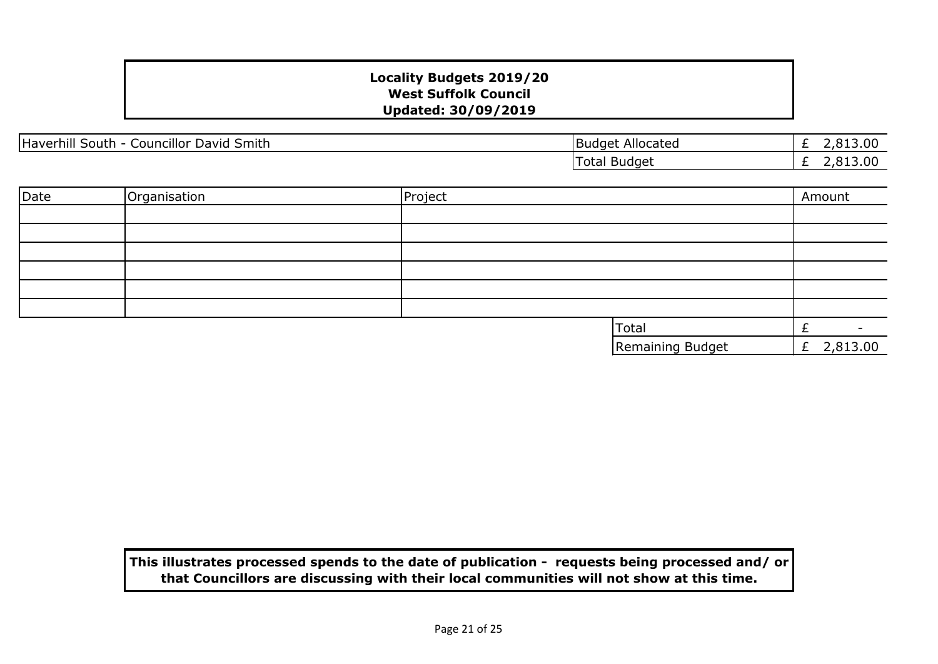| Haverhill<br><b>Councillor</b><br><sup>+</sup> Smith<br>David<br><b>South</b> | Allocated<br>Budget | 13.00<br>$\sim$<br>- |
|-------------------------------------------------------------------------------|---------------------|----------------------|
|                                                                               | --<br>Iotal Budget  | 13.00<br>_           |

| Date | Organisation | Project |                  | Amount        |
|------|--------------|---------|------------------|---------------|
|      |              |         |                  |               |
|      |              |         |                  |               |
|      |              |         |                  |               |
|      |              |         |                  |               |
|      |              |         |                  |               |
|      |              |         |                  |               |
|      |              |         | Total            |               |
|      |              |         | Remaining Budget | 2,813.00<br>E |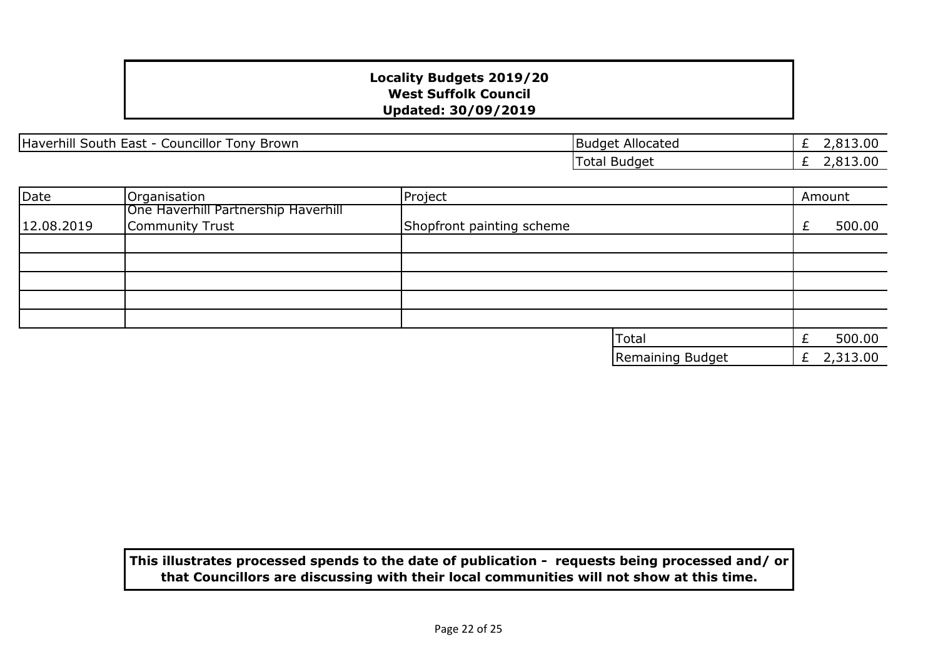Haverhill South East - Councillor Tony Brown Budget Allocated

£ 2,813.00 £ 2,813.00 Total Budget

| Date       | Organisation                        | Project                   |                  |    | Amount   |
|------------|-------------------------------------|---------------------------|------------------|----|----------|
|            | One Haverhill Partnership Haverhill |                           |                  |    |          |
| 12.08.2019 | Community Trust                     | Shopfront painting scheme |                  |    | 500.00   |
|            |                                     |                           |                  |    |          |
|            |                                     |                           |                  |    |          |
|            |                                     |                           |                  |    |          |
|            |                                     |                           |                  |    |          |
|            |                                     |                           |                  |    |          |
|            |                                     |                           | <b>Total</b>     |    | 500.00   |
|            |                                     |                           | Remaining Budget | Ł. | 2,313.00 |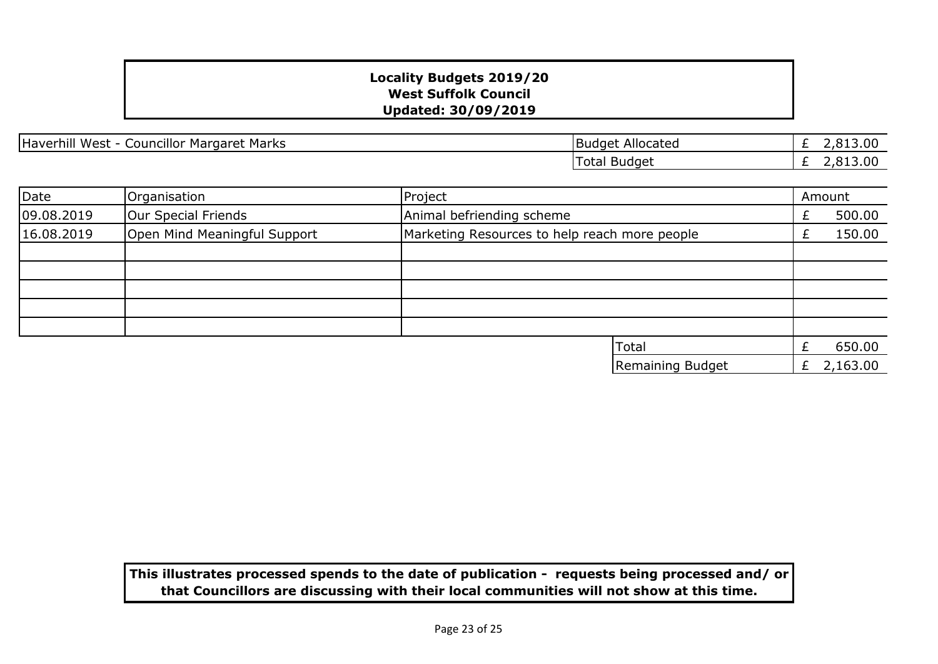Haverhill West - Councillor Margaret Marks **Budget Allocated** 

£ 2,813.00  $\overline{E}$  2,813.00 Total Budget

| Date       | Organisation                 | Project                                       |   | Amount   |
|------------|------------------------------|-----------------------------------------------|---|----------|
| 09.08.2019 | Our Special Friends          | Animal befriending scheme                     |   | 500.00   |
| 16.08.2019 | Open Mind Meaningful Support | Marketing Resources to help reach more people |   | 150.00   |
|            |                              |                                               |   |          |
|            |                              |                                               |   |          |
|            |                              |                                               |   |          |
|            |                              |                                               |   |          |
|            |                              |                                               |   |          |
|            |                              | <b>Total</b>                                  |   | 650.00   |
|            |                              | Remaining Budget                              | Ł | 2,163.00 |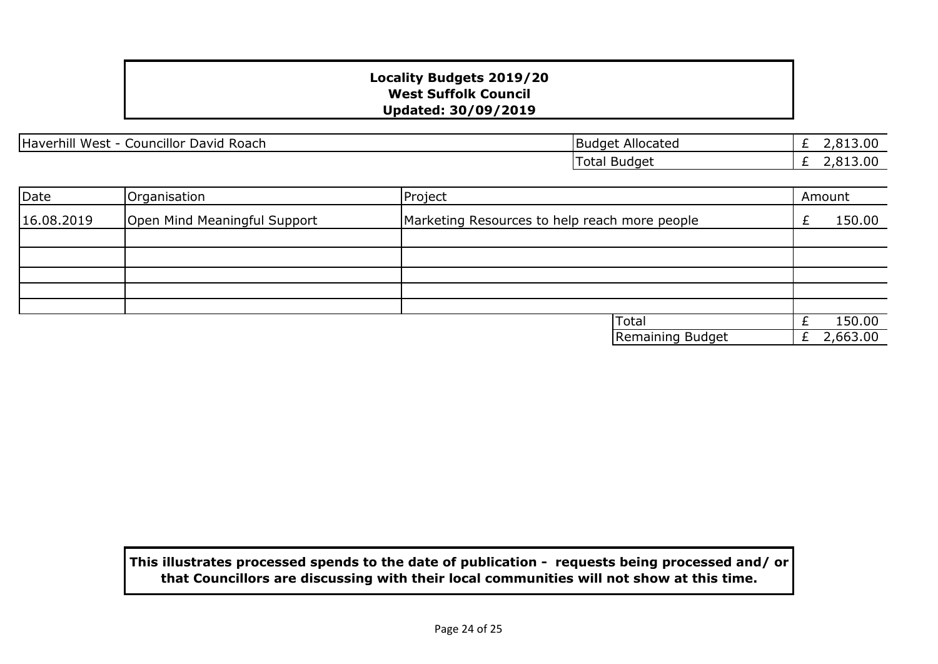Haverhill West - Councillor David Roach Budget Allocated

£ 2,813.00 £ 2,813.00 Total Budget

| Date       | Organisation                 | Project                                       | Amount   |
|------------|------------------------------|-----------------------------------------------|----------|
| 16.08.2019 | Open Mind Meaningful Support | Marketing Resources to help reach more people | 150.00   |
|            |                              |                                               |          |
|            |                              |                                               |          |
|            |                              |                                               |          |
|            |                              |                                               |          |
|            |                              |                                               |          |
|            |                              | <b>Total</b>                                  | 150.00   |
|            |                              | Remaining Budget                              | 2,663.00 |